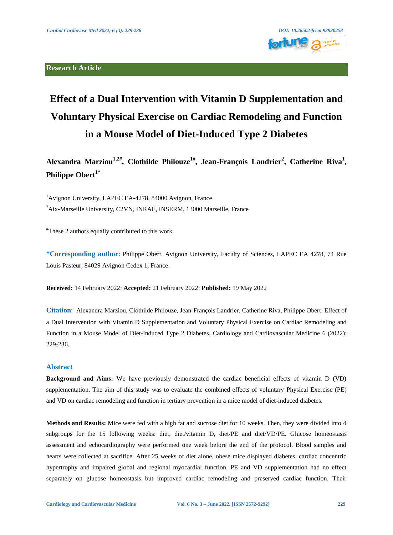

# **Effect of a Dual Intervention with Vitamin D Supplementation and Voluntary Physical Exercise on Cardiac Remodeling and Function in a Mouse Model of Diet-Induced Type 2 Diabetes**

Alexandra Marziou<sup>1,2#</sup>, Clothilde Philouze<sup>1#</sup>, Jean-François Landrier<sup>2</sup>, Catherine Riva<sup>1</sup>, **Philippe Obert1\***

<sup>1</sup>Avignon University, LAPEC EA-4278, 84000 Avignon, France <sup>2</sup>Aix-Marseille University, C2VN, INRAE, INSERM, 13000 Marseille, France

#These 2 authors equally contributed to this work.

**\*Corresponding author:** Philippe Obert. Avignon University, Faculty of Sciences, LAPEC EA 4278, 74 Rue Louis Pasteur, 84029 Avignon Cedex 1, France.

**Received:** 14 February 2022; **Accepted:** 21 February 2022; **Published:** 19 May 2022

**Citation**: Alexandra Marziou, Clothilde Philouze, Jean-François Landrier, Catherine Riva, Philippe Obert. Effect of a Dual Intervention with Vitamin D Supplementation and Voluntary Physical Exercise on Cardiac Remodeling and Function in a Mouse Model of Diet-Induced Type 2 Diabetes. Cardiology and Cardiovascular Medicine 6 (2022): 229-236.

## **Abstract**

**Background and Aims:** We have previously demonstrated the cardiac beneficial effects of vitamin D (VD) supplementation. The aim of this study was to evaluate the combined effects of voluntary Physical Exercise (PE) and VD on cardiac remodeling and function in tertiary prevention in a mice model of diet-induced diabetes.

**Methods and Results:** Mice were fed with a high fat and sucrose diet for 10 weeks. Then, they were divided into 4 subgroups for the 15 following weeks: diet, diet/vitamin D, diet/PE and diet/VD/PE. Glucose homeostasis assessment and echocardiography were performed one week before the end of the protocol. Blood samples and hearts were collected at sacrifice. After 25 weeks of diet alone, obese mice displayed diabetes, cardiac concentric hypertrophy and impaired global and regional myocardial function. PE and VD supplementation had no effect separately on glucose homeostasis but improved cardiac remodeling and preserved cardiac function. Their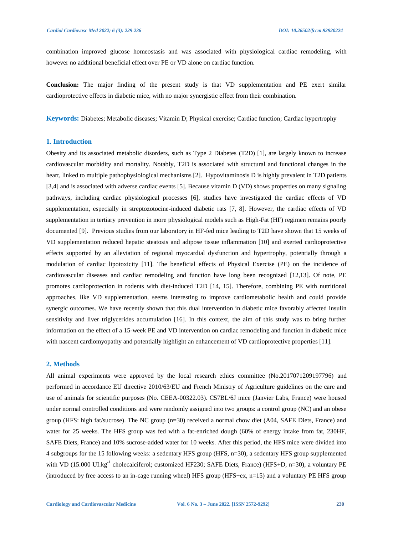combination improved glucose homeostasis and was associated with physiological cardiac remodeling, with however no additional beneficial effect over PE or VD alone on cardiac function.

**Conclusion:** The major finding of the present study is that VD supplementation and PE exert similar cardioprotective effects in diabetic mice, with no major synergistic effect from their combination.

**Keywords:** Diabetes; Metabolic diseases; Vitamin D; Physical exercise; Cardiac function; Cardiac hypertrophy

#### **1. Introduction**

Obesity and its associated metabolic disorders, such as Type 2 Diabetes (T2D) [1], are largely known to increase cardiovascular morbidity and mortality. Notably, T2D is associated with structural and functional changes in the heart, linked to multiple pathophysiological mechanisms [2]. Hypovitaminosis D is highly prevalent in T2D patients [3,4] and is associated with adverse cardiac events [5]. Because vitamin D (VD) shows properties on many signaling pathways, including cardiac physiological processes [6], studies have investigated the cardiac effects of VD supplementation, especially in streptozotocine-induced diabetic rats [7, 8]. However, the cardiac effects of VD supplementation in tertiary prevention in more physiological models such as High-Fat (HF) regimen remains poorly documented [9]. Previous studies from our laboratory in HF-fed mice leading to T2D have shown that 15 weeks of VD supplementation reduced hepatic steatosis and adipose tissue inflammation [10] and exerted cardioprotective effects supported by an alleviation of regional myocardial dysfunction and hypertrophy, potentially through a modulation of cardiac lipotoxicity [11]. The beneficial effects of Physical Exercise (PE) on the incidence of cardiovascular diseases and cardiac remodeling and function have long been recognized [12,13]. Of note, PE promotes cardioprotection in rodents with diet-induced T2D [14, 15]. Therefore, combining PE with nutritional approaches, like VD supplementation, seems interesting to improve cardiometabolic health and could provide synergic outcomes. We have recently shown that this dual intervention in diabetic mice favorably affected insulin sensitivity and liver triglycerides accumulation [16]. In this context, the aim of this study was to bring further information on the effect of a 15-week PE and VD intervention on cardiac remodeling and function in diabetic mice with nascent cardiomyopathy and potentially highlight an enhancement of VD cardioprotective properties [11].

## **2. Methods**

All animal experiments were approved by the local research ethics committee (No.2017071209197796) and performed in accordance EU directive 2010/63/EU and French Ministry of Agriculture guidelines on the care and use of animals for scientific purposes (No. CEEA-00322.03). C57BL/6J mice (Janvier Labs, France) were housed under normal controlled conditions and were randomly assigned into two groups: a control group (NC) and an obese group (HFS: high fat/sucrose). The NC group (n=30) received a normal chow diet (A04, SAFE Diets, France) and water for 25 weeks. The HFS group was fed with a fat-enriched dough (60% of energy intake from fat, 230HF, SAFE Diets, France) and 10% sucrose-added water for 10 weeks. After this period, the HFS mice were divided into 4 subgroups for the 15 following weeks: a sedentary HFS group (HFS, n=30), a sedentary HFS group supplemented with VD (15.000 UI.kg<sup>-1</sup> cholecalciferol; customized HF230; SAFE Diets, France) (HFS+D, n=30), a voluntary PE (introduced by free access to an in-cage running wheel) HFS group (HFS+ex, n=15) and a voluntary PE HFS group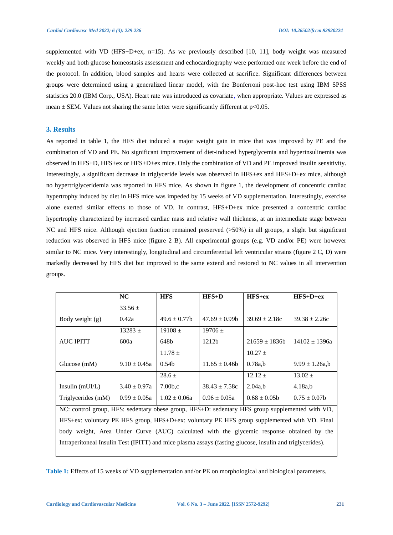supplemented with VD (HFS+D+ex, n=15). As we previously described [10, 11], body weight was measured weekly and both glucose homeostasis assessment and echocardiography were performed one week before the end of the protocol. In addition, blood samples and hearts were collected at sacrifice. Significant differences between groups were determined using a generalized linear model, with the Bonferroni post-hoc test using IBM SPSS statistics 20.0 (IBM Corp., USA). Heart rate was introduced as covariate, when appropriate. Values are expressed as mean  $\pm$  SEM. Values not sharing the same letter were significantly different at p $\leq$ 0.05.

## **3. Results**

As reported in table 1, the HFS diet induced a major weight gain in mice that was improved by PE and the combination of VD and PE. No significant improvement of diet-induced hyperglycemia and hyperinsulinemia was observed in HFS+D, HFS+ex or HFS+D+ex mice. Only the combination of VD and PE improved insulin sensitivity. Interestingly, a significant decrease in triglyceride levels was observed in HFS+ex and HFS+D+ex mice, although no hypertriglyceridemia was reported in HFS mice. As shown in figure 1, the development of concentric cardiac hypertrophy induced by diet in HFS mice was impeded by 15 weeks of VD supplementation. Interestingly, exercise alone exerted similar effects to those of VD. In contrast, HFS+D+ex mice presented a concentric cardiac hypertrophy characterized by increased cardiac mass and relative wall thickness, at an intermediate stage between NC and HFS mice. Although ejection fraction remained preserved (>50%) in all groups, a slight but significant reduction was observed in HFS mice (figure 2 B). All experimental groups (e.g. VD and/or PE) were however similar to NC mice. Very interestingly, longitudinal and circumferential left ventricular strains (figure 2 C, D) were markedly decreased by HFS diet but improved to the same extend and restored to NC values in all intervention groups.

|                                                                                                           | <b>NC</b>        | <b>HFS</b>          | $HFS+D$           | $HFS+ex$          | $HFS+D+ex$          |
|-----------------------------------------------------------------------------------------------------------|------------------|---------------------|-------------------|-------------------|---------------------|
|                                                                                                           | $33.56 \pm$      |                     |                   |                   |                     |
| Body weight $(g)$                                                                                         | 0.42a            | $49.6 \pm 0.77$ b   | $47.69 \pm 0.99b$ | $39.69 \pm 2.18c$ | $39.38 \pm 2.26c$   |
|                                                                                                           | $13283 +$        | $19108 \pm$         | $19706 \pm$       |                   |                     |
| <b>AUC IPITT</b>                                                                                          | 600a             | 648b                | 1212b             | $21659 \pm 1836b$ | $14102 \pm 1396a$   |
|                                                                                                           |                  | $11.78 \pm$         |                   | $10.27 \pm$       |                     |
| Glucose $(mM)$                                                                                            | $9.10 \pm 0.45a$ | 0.54 <sub>b</sub>   | $11.65 \pm 0.46b$ | 0.78a.b           | $9.99 \pm 1.26$ a,b |
|                                                                                                           |                  | $28.6 \pm$          |                   | $12.12 \pm$       | $13.02 +$           |
| Insulin $(mUI/L)$                                                                                         | $3.40 \pm 0.97a$ | 7.00 <sub>b,c</sub> | $38.43 \pm 7.58c$ | $2.04a$ ,b        | 4.18a,b             |
| Triglycerides (mM)                                                                                        | $0.99 \pm 0.05a$ | $1.02 \pm 0.06a$    | $0.96 \pm 0.05a$  | $0.68 \pm 0.05b$  | $0.75 \pm 0.07$     |
| NC: control group, HFS: sedentary obese group, HFS+D: sedentary HFS group supplemented with VD,           |                  |                     |                   |                   |                     |
| HFS+ex: voluntary PE HFS group, HFS+D+ex: voluntary PE HFS group supplemented with VD. Final              |                  |                     |                   |                   |                     |
| body weight, Area Under Curve (AUC) calculated with the glycemic response obtained by the                 |                  |                     |                   |                   |                     |
| Intraperitoneal Insulin Test (IPITT) and mice plasma assays (fasting glucose, insulin and triglycerides). |                  |                     |                   |                   |                     |

**Table 1:** Effects of 15 weeks of VD supplementation and/or PE on morphological and biological parameters.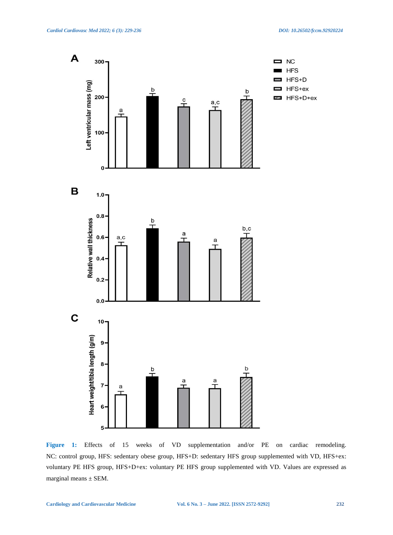

**Figure 1:** Effects of 15 weeks of VD supplementation and/or PE on cardiac remodeling. NC: control group, HFS: sedentary obese group, HFS+D: sedentary HFS group supplemented with VD, HFS+ex: voluntary PE HFS group, HFS+D+ex: voluntary PE HFS group supplemented with VD. Values are expressed as marginal means  $\pm$  SEM.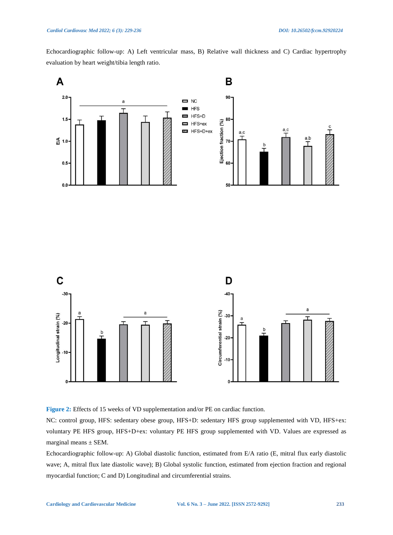Echocardiographic follow-up: A) Left ventricular mass, B) Relative wall thickness and C) Cardiac hypertrophy evaluation by heart weight/tibia length ratio.



**Figure 2:** Effects of 15 weeks of VD supplementation and/or PE on cardiac function.

NC: control group, HFS: sedentary obese group, HFS+D: sedentary HFS group supplemented with VD, HFS+ex: voluntary PE HFS group, HFS+D+ex: voluntary PE HFS group supplemented with VD. Values are expressed as marginal means  $\pm$  SEM.

Echocardiographic follow-up: A) Global diastolic function, estimated from E/A ratio (E, mitral flux early diastolic wave; A, mitral flux late diastolic wave); B) Global systolic function, estimated from ejection fraction and regional myocardial function; C and D) Longitudinal and circumferential strains.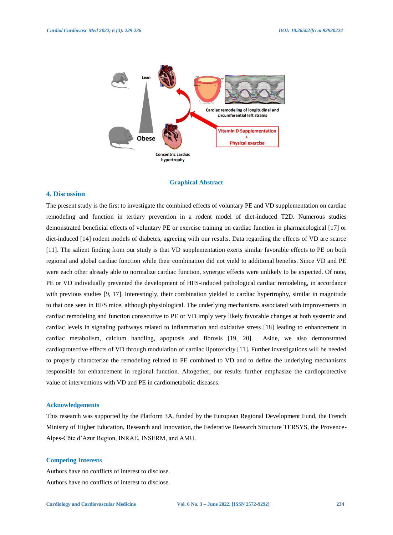

#### **Graphical Abstract**

# **4. Discussion**

The present study is the first to investigate the combined effects of voluntary PE and VD supplementation on cardiac remodeling and function in tertiary prevention in a rodent model of diet-induced T2D. Numerous studies demonstrated beneficial effects of voluntary PE or exercise training on cardiac function in pharmacological [17] or diet-induced [14] rodent models of diabetes, agreeing with our results. Data regarding the effects of VD are scarce [11]. The salient finding from our study is that VD supplementation exerts similar favorable effects to PE on both regional and global cardiac function while their combination did not yield to additional benefits. Since VD and PE were each other already able to normalize cardiac function, synergic effects were unlikely to be expected. Of note, PE or VD individually prevented the development of HFS-induced pathological cardiac remodeling, in accordance with previous studies [9, 17]. Interestingly, their combination yielded to cardiac hypertrophy, similar in magnitude to that one seen in HFS mice, although physiological. The underlying mechanisms associated with improvements in cardiac remodeling and function consecutive to PE or VD imply very likely favorable changes at both systemic and cardiac levels in signaling pathways related to inflammation and oxidative stress [18] leading to enhancement in cardiac metabolism, calcium handling, apoptosis and fibrosis [19, 20]. Aside, we also demonstrated cardioprotective effects of VD through modulation of cardiac lipotoxicity [11]. Further investigations will be needed to properly characterize the remodeling related to PE combined to VD and to define the underlying mechanisms responsible for enhancement in regional function. Altogether, our results further emphasize the cardioprotective value of interventions with VD and PE in cardiometabolic diseases.

# **Acknowledgements**

This research was supported by the Platform 3A, funded by the European Regional Development Fund, the French Ministry of Higher Education, Research and Innovation, the Federative Research Structure TERSYS, the Provence-Alpes-Côte d'Azur Region, INRAE, INSERM, and AMU.

## **Competing Interests**

Authors have no conflicts of interest to disclose. Authors have no conflicts of interest to disclose.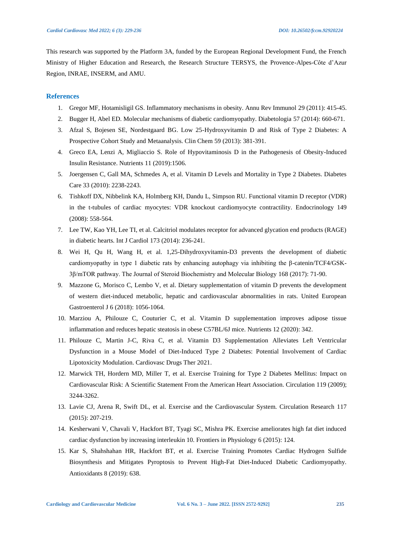This research was supported by the Platform 3A, funded by the European Regional Development Fund, the French Ministry of Higher Education and Research, the Research Structure TERSYS, the Provence-Alpes-Côte d'Azur Region, INRAE, INSERM, and AMU.

# **References**

- 1. Gregor MF, Hotamisligil GS. Inflammatory mechanisms in obesity. Annu Rev Immunol 29 (2011): 415-45.
- 2. Bugger H, Abel ED. Molecular mechanisms of diabetic cardiomyopathy. Diabetologia 57 (2014): 660-671.
- 3. Afzal S, Bojesen SE, Nordestgaard BG. Low 25-Hydroxyvitamin D and Risk of Type 2 Diabetes: A Prospective Cohort Study and Metaanalysis. Clin Chem 59 (2013): 381-391.
- 4. Greco EA, Lenzi A, Migliaccio S. Role of Hypovitaminosis D in the Pathogenesis of Obesity-Induced Insulin Resistance. Nutrients 11 (2019):1506.
- 5. Joergensen C, Gall MA, Schmedes A, et al. Vitamin D Levels and Mortality in Type 2 Diabetes. Diabetes Care 33 (2010): 2238-2243.
- 6. Tishkoff DX, Nibbelink KA, Holmberg KH, Dandu L, Simpson RU. Functional vitamin D receptor (VDR) in the t-tubules of cardiac myocytes: VDR knockout cardiomyocyte contractility. Endocrinology 149 (2008): 558-564.
- 7. Lee TW, Kao YH, Lee TI, et al. Calcitriol modulates receptor for advanced glycation end products (RAGE) in diabetic hearts. Int J Cardiol 173 (2014): 236-241.
- 8. Wei H, Qu H, Wang H, et al. 1,25-Dihydroxyvitamin-D3 prevents the development of diabetic cardiomyopathy in type 1 diabetic rats by enhancing autophagy via inhibiting the β-catenin/TCF4/GSK-3β/mTOR pathway. The Journal of Steroid Biochemistry and Molecular Biology 168 (2017): 71-90.
- 9. Mazzone G, Morisco C, Lembo V, et al. Dietary supplementation of vitamin D prevents the development of western diet-induced metabolic, hepatic and cardiovascular abnormalities in rats. United European Gastroenterol J 6 (2018): 1056-1064.
- 10. Marziou A, Philouze C, Couturier C, et al. Vitamin D supplementation improves adipose tissue inflammation and reduces hepatic steatosis in obese C57BL/6J mice. Nutrients 12 (2020): 342.
- 11. Philouze C, Martin J-C, Riva C, et al. Vitamin D3 Supplementation Alleviates Left Ventricular Dysfunction in a Mouse Model of Diet-Induced Type 2 Diabetes: Potential Involvement of Cardiac Lipotoxicity Modulation. Cardiovasc Drugs Ther 2021.
- 12. Marwick TH, Hordern MD, Miller T, et al. Exercise Training for Type 2 Diabetes Mellitus: Impact on Cardiovascular Risk: A Scientific Statement From the American Heart Association. Circulation 119 (2009); 3244-3262.
- 13. Lavie CJ, Arena R, Swift DL, et al. Exercise and the Cardiovascular System. Circulation Research 117 (2015): 207-219.
- 14. Kesherwani V, Chavali V, Hackfort BT, Tyagi SC, Mishra PK. Exercise ameliorates high fat diet induced cardiac dysfunction by increasing interleukin 10. Frontiers in Physiology 6 (2015): 124.
- 15. Kar S, Shahshahan HR, Hackfort BT, et al. Exercise Training Promotes Cardiac Hydrogen Sulfide Biosynthesis and Mitigates Pyroptosis to Prevent High-Fat Diet-Induced Diabetic Cardiomyopathy. Antioxidants 8 (2019): 638.